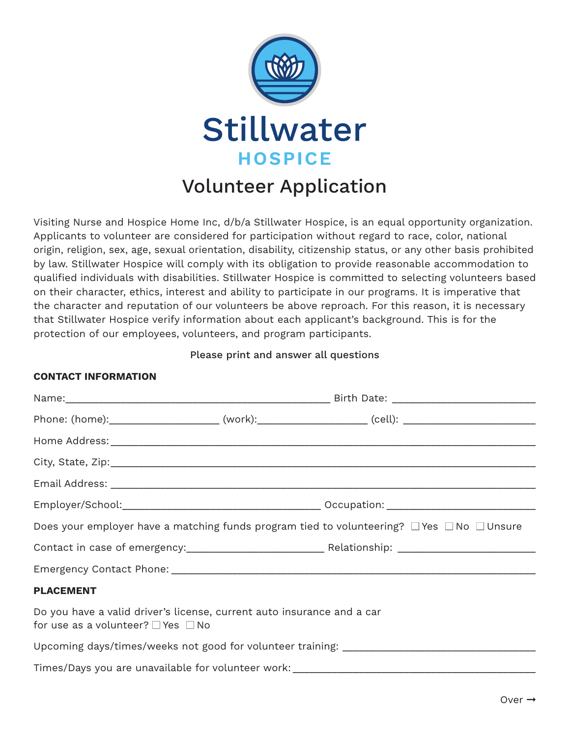

## Volunteer Application

Visiting Nurse and Hospice Home Inc, d/b/a Stillwater Hospice, is an equal opportunity organization. Applicants to volunteer are considered for participation without regard to race, color, national origin, religion, sex, age, sexual orientation, disability, citizenship status, or any other basis prohibited by law. Stillwater Hospice will comply with its obligation to provide reasonable accommodation to qualified individuals with disabilities. Stillwater Hospice is committed to selecting volunteers based on their character, ethics, interest and ability to participate in our programs. It is imperative that the character and reputation of our volunteers be above reproach. For this reason, it is necessary that Stillwater Hospice verify information about each applicant's background. This is for the protection of our employees, volunteers, and program participants.

## Please print and answer all questions

## **CONTACT INFORMATION**

|                                                                                                              |  | Does your employer have a matching funds program tied to volunteering? $\Box$ Yes $\Box$ No $\Box$ Unsure |  |
|--------------------------------------------------------------------------------------------------------------|--|-----------------------------------------------------------------------------------------------------------|--|
|                                                                                                              |  |                                                                                                           |  |
|                                                                                                              |  |                                                                                                           |  |
| <b>PLACEMENT</b>                                                                                             |  |                                                                                                           |  |
| Do you have a valid driver's license, current auto insurance and a car<br>for use as a volunteer? □ Yes □ No |  |                                                                                                           |  |
|                                                                                                              |  |                                                                                                           |  |
|                                                                                                              |  | Times/Days you are unavailable for volunteer work: ______________________________                         |  |